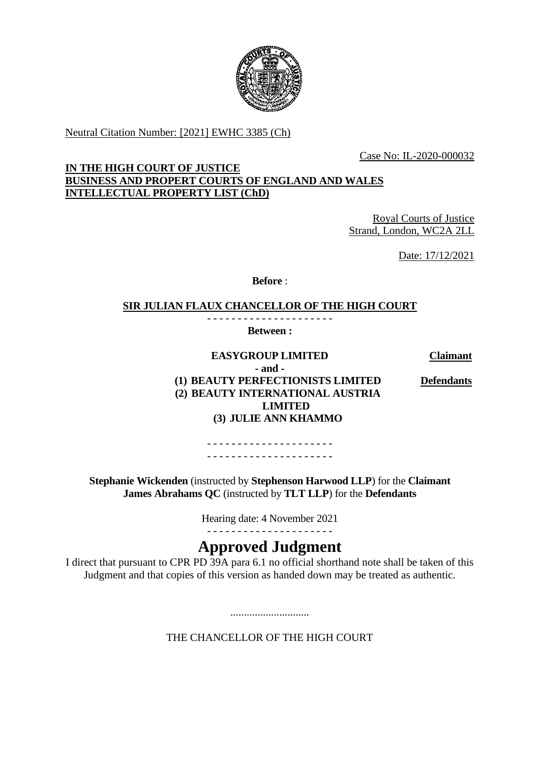

Neutral Citation Number: [2021] EWHC 3385 (Ch)

Case No: IL-2020-000032

# **IN THE HIGH COURT OF JUSTICE BUSINESS AND PROPERT COURTS OF ENGLAND AND WALES INTELLECTUAL PROPERTY LIST (ChD)**

Royal Courts of Justice Strand, London, WC2A 2LL

Date: 17/12/2021

**Before** :

# **SIR JULIAN FLAUX CHANCELLOR OF THE HIGH COURT**

- - - - - - - - - - - - - - - - - - - - -

**Between :**

**EASYGROUP LIMITED Claimant**

**- and -**

**Defendants**

**(1) BEAUTY PERFECTIONISTS LIMITED (2) BEAUTY INTERNATIONAL AUSTRIA LIMITED (3) JULIE ANN KHAMMO**

- - - - - - - - - - - - - - - - - - - - - - - - - - - - - - - - - - - - - - - - - -

**Stephanie Wickenden** (instructed by **Stephenson Harwood LLP**) for the **Claimant James Abrahams QC** (instructed by **TLT LLP**) for the **Defendants**

> Hearing date: 4 November 2021 - - - - - - - - - - - - - - - - - - - - -

# **Approved Judgment**

I direct that pursuant to CPR PD 39A para 6.1 no official shorthand note shall be taken of this Judgment and that copies of this version as handed down may be treated as authentic.

THE CHANCELLOR OF THE HIGH COURT

.............................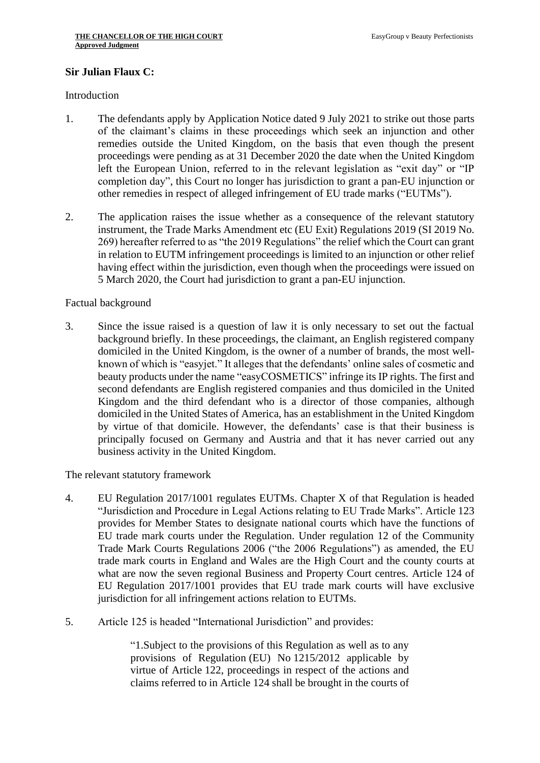## **Sir Julian Flaux C:**

#### **Introduction**

- 1. The defendants apply by Application Notice dated 9 July 2021 to strike out those parts of the claimant's claims in these proceedings which seek an injunction and other remedies outside the United Kingdom, on the basis that even though the present proceedings were pending as at 31 December 2020 the date when the United Kingdom left the European Union, referred to in the relevant legislation as "exit day" or "IP completion day", this Court no longer has jurisdiction to grant a pan-EU injunction or other remedies in respect of alleged infringement of EU trade marks ("EUTMs").
- 2. The application raises the issue whether as a consequence of the relevant statutory instrument, the Trade Marks Amendment etc (EU Exit) Regulations 2019 (SI 2019 No. 269) hereafter referred to as "the 2019 Regulations" the relief which the Court can grant in relation to EUTM infringement proceedings is limited to an injunction or other relief having effect within the jurisdiction, even though when the proceedings were issued on 5 March 2020, the Court had jurisdiction to grant a pan-EU injunction.

## Factual background

3. Since the issue raised is a question of law it is only necessary to set out the factual background briefly. In these proceedings, the claimant, an English registered company domiciled in the United Kingdom, is the owner of a number of brands, the most wellknown of which is "easyjet." It alleges that the defendants' online sales of cosmetic and beauty products under the name "easyCOSMETICS" infringe its IP rights. The first and second defendants are English registered companies and thus domiciled in the United Kingdom and the third defendant who is a director of those companies, although domiciled in the United States of America, has an establishment in the United Kingdom by virtue of that domicile. However, the defendants' case is that their business is principally focused on Germany and Austria and that it has never carried out any business activity in the United Kingdom.

The relevant statutory framework

- 4. EU Regulation 2017/1001 regulates EUTMs. Chapter X of that Regulation is headed "Jurisdiction and Procedure in Legal Actions relating to EU Trade Marks". Article 123 provides for Member States to designate national courts which have the functions of EU trade mark courts under the Regulation. Under regulation 12 of the Community Trade Mark Courts Regulations 2006 ("the 2006 Regulations") as amended, the EU trade mark courts in England and Wales are the High Court and the county courts at what are now the seven regional Business and Property Court centres. Article 124 of EU Regulation 2017/1001 provides that EU trade mark courts will have exclusive jurisdiction for all infringement actions relation to EUTMs.
- 5. Article 125 is headed "International Jurisdiction" and provides:

"1.Subject to the provisions of this Regulation as well as to any provisions of Regulation (EU) No 1215/2012 applicable by virtue of Article 122, proceedings in respect of the actions and claims referred to in Article 124 shall be brought in the courts of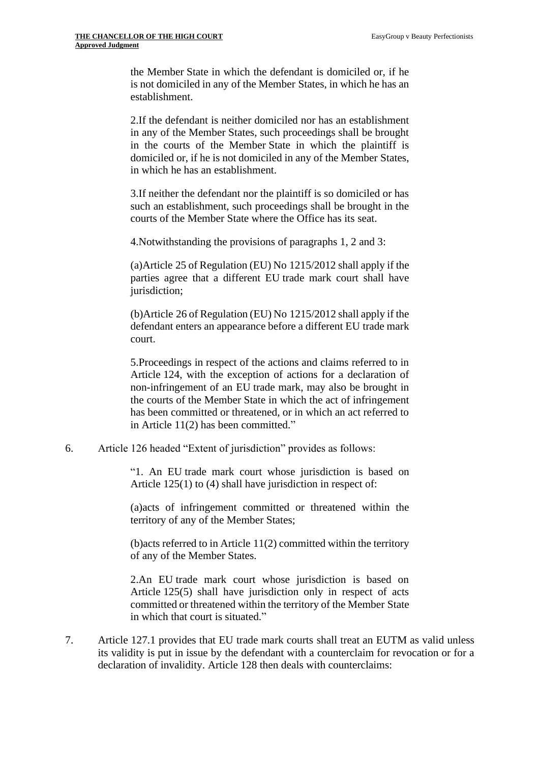the Member State in which the defendant is domiciled or, if he is not domiciled in any of the Member States, in which he has an establishment.

2.If the defendant is neither domiciled nor has an establishment in any of the Member States, such proceedings shall be brought in the courts of the Member State in which the plaintiff is domiciled or, if he is not domiciled in any of the Member States, in which he has an establishment.

3.If neither the defendant nor the plaintiff is so domiciled or has such an establishment, such proceedings shall be brought in the courts of the Member State where the Office has its seat.

4.Notwithstanding the provisions of paragraphs 1, 2 and 3:

(a)Article 25 of Regulation (EU) No 1215/2012 shall apply if the parties agree that a different EU trade mark court shall have jurisdiction;

(b)Article 26 of Regulation (EU) No 1215/2012 shall apply if the defendant enters an appearance before a different EU trade mark court.

5.Proceedings in respect of the actions and claims referred to in Article 124, with the exception of actions for a declaration of non-infringement of an EU trade mark, may also be brought in the courts of the Member State in which the act of infringement has been committed or threatened, or in which an act referred to in Article 11(2) has been committed."

6. Article 126 headed "Extent of jurisdiction" provides as follows:

"1. An EU trade mark court whose jurisdiction is based on Article 125(1) to (4) shall have jurisdiction in respect of:

(a)acts of infringement committed or threatened within the territory of any of the Member States;

(b)acts referred to in Article 11(2) committed within the territory of any of the Member States.

2.An EU trade mark court whose jurisdiction is based on Article 125(5) shall have jurisdiction only in respect of acts committed or threatened within the territory of the Member State in which that court is situated."

7. Article 127.1 provides that EU trade mark courts shall treat an EUTM as valid unless its validity is put in issue by the defendant with a counterclaim for revocation or for a declaration of invalidity. Article 128 then deals with counterclaims: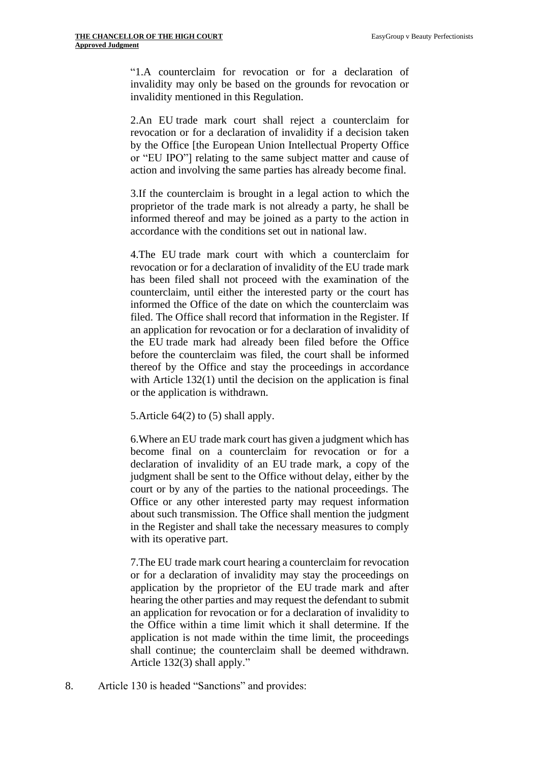"1.A counterclaim for revocation or for a declaration of invalidity may only be based on the grounds for revocation or invalidity mentioned in this Regulation.

2.An EU trade mark court shall reject a counterclaim for revocation or for a declaration of invalidity if a decision taken by the Office [the European Union Intellectual Property Office or "EU IPO"] relating to the same subject matter and cause of action and involving the same parties has already become final.

3.If the counterclaim is brought in a legal action to which the proprietor of the trade mark is not already a party, he shall be informed thereof and may be joined as a party to the action in accordance with the conditions set out in national law.

4.The EU trade mark court with which a counterclaim for revocation or for a declaration of invalidity of the EU trade mark has been filed shall not proceed with the examination of the counterclaim, until either the interested party or the court has informed the Office of the date on which the counterclaim was filed. The Office shall record that information in the Register. If an application for revocation or for a declaration of invalidity of the EU trade mark had already been filed before the Office before the counterclaim was filed, the court shall be informed thereof by the Office and stay the proceedings in accordance with Article 132(1) until the decision on the application is final or the application is withdrawn.

5.Article 64(2) to (5) shall apply.

6.Where an EU trade mark court has given a judgment which has become final on a counterclaim for revocation or for a declaration of invalidity of an EU trade mark, a copy of the judgment shall be sent to the Office without delay, either by the court or by any of the parties to the national proceedings. The Office or any other interested party may request information about such transmission. The Office shall mention the judgment in the Register and shall take the necessary measures to comply with its operative part.

7.The EU trade mark court hearing a counterclaim for revocation or for a declaration of invalidity may stay the proceedings on application by the proprietor of the EU trade mark and after hearing the other parties and may request the defendant to submit an application for revocation or for a declaration of invalidity to the Office within a time limit which it shall determine. If the application is not made within the time limit, the proceedings shall continue; the counterclaim shall be deemed withdrawn. Article 132(3) shall apply."

8. Article 130 is headed "Sanctions" and provides: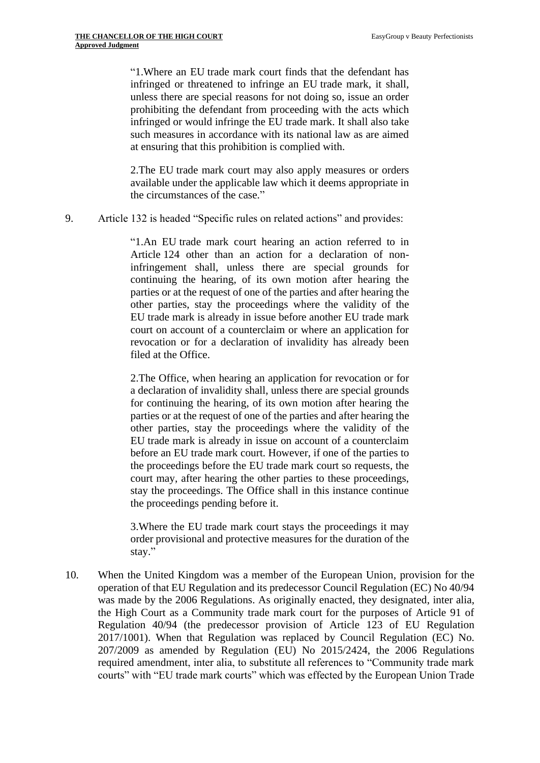"1.Where an EU trade mark court finds that the defendant has infringed or threatened to infringe an EU trade mark, it shall, unless there are special reasons for not doing so, issue an order prohibiting the defendant from proceeding with the acts which infringed or would infringe the EU trade mark. It shall also take such measures in accordance with its national law as are aimed at ensuring that this prohibition is complied with.

2.The EU trade mark court may also apply measures or orders available under the applicable law which it deems appropriate in the circumstances of the case."

9. Article 132 is headed "Specific rules on related actions" and provides:

"1.An EU trade mark court hearing an action referred to in Article 124 other than an action for a declaration of noninfringement shall, unless there are special grounds for continuing the hearing, of its own motion after hearing the parties or at the request of one of the parties and after hearing the other parties, stay the proceedings where the validity of the EU trade mark is already in issue before another EU trade mark court on account of a counterclaim or where an application for revocation or for a declaration of invalidity has already been filed at the Office.

2.The Office, when hearing an application for revocation or for a declaration of invalidity shall, unless there are special grounds for continuing the hearing, of its own motion after hearing the parties or at the request of one of the parties and after hearing the other parties, stay the proceedings where the validity of the EU trade mark is already in issue on account of a counterclaim before an EU trade mark court. However, if one of the parties to the proceedings before the EU trade mark court so requests, the court may, after hearing the other parties to these proceedings, stay the proceedings. The Office shall in this instance continue the proceedings pending before it.

3.Where the EU trade mark court stays the proceedings it may order provisional and protective measures for the duration of the stay."

10. When the United Kingdom was a member of the European Union, provision for the operation of that EU Regulation and its predecessor Council Regulation (EC) No 40/94 was made by the 2006 Regulations. As originally enacted, they designated, inter alia, the High Court as a Community trade mark court for the purposes of Article 91 of Regulation 40/94 (the predecessor provision of Article 123 of EU Regulation 2017/1001). When that Regulation was replaced by Council Regulation (EC) No. 207/2009 as amended by Regulation (EU) No 2015/2424, the 2006 Regulations required amendment, inter alia, to substitute all references to "Community trade mark courts" with "EU trade mark courts" which was effected by the European Union Trade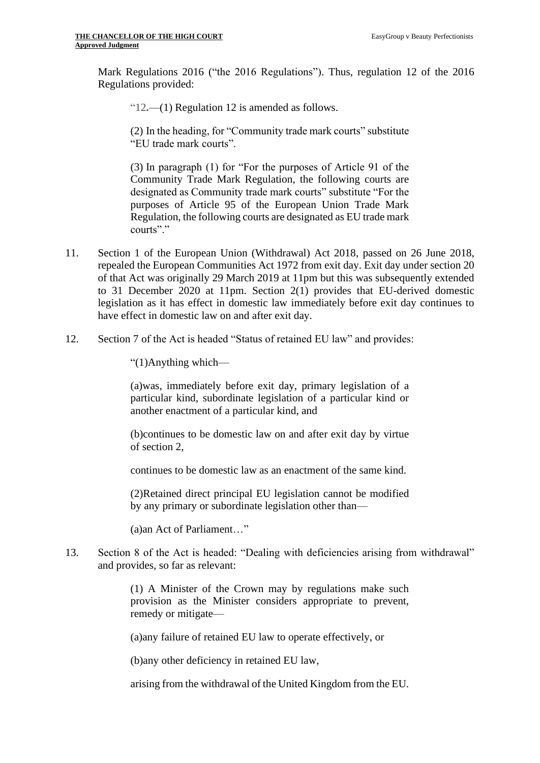Mark Regulations 2016 ("the 2016 Regulations"). Thus, regulation 12 of the 2016 Regulations provided:

"12**.**—(1) Regulation 12 is amended as follows.

(2) In the heading, for "Community trade mark courts" substitute "EU trade mark courts".

(3) In paragraph (1) for "For the purposes of Article 91 of the Community Trade Mark Regulation, the following courts are designated as Community trade mark courts" substitute "For the purposes of Article 95 of the European Union Trade Mark Regulation, the following courts are designated as EU trade mark courts"."

- 11. Section 1 of the European Union (Withdrawal) Act 2018, passed on 26 June 2018, repealed the European Communities Act 1972 from exit day. Exit day under section 20 of that Act was originally 29 March 2019 at 11pm but this was subsequently extended to 31 December 2020 at 11pm. Section 2(1) provides that EU-derived domestic legislation as it has effect in domestic law immediately before exit day continues to have effect in domestic law on and after exit day.
- 12. Section 7 of the Act is headed "Status of retained EU law" and provides:

"(1)Anything which—

(a)was, immediately before exit day, primary legislation of a particular kind, subordinate legislation of a particular kind or another enactment of a particular kind, and

(b)continues to be domestic law on and after exit day by virtue of section 2,

continues to be domestic law as an enactment of the same kind.

(2)Retained direct principal EU legislation cannot be modified by any primary or subordinate legislation other than—

(a)an Act of Parliament…"

13. Section 8 of the Act is headed: "Dealing with deficiencies arising from withdrawal" and provides, so far as relevant:

> (1) A Minister of the Crown may by regulations make such provision as the Minister considers appropriate to prevent, remedy or mitigate—

(a)any failure of retained EU law to operate effectively, or

(b)any other deficiency in retained EU law,

arising from the withdrawal of the United Kingdom from the EU.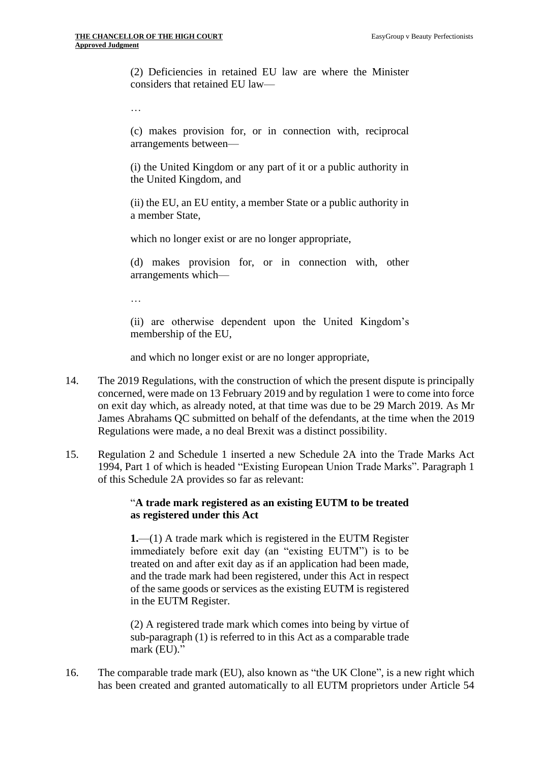(2) Deficiencies in retained EU law are where the Minister considers that retained EU law—

…

(c) makes provision for, or in connection with, reciprocal arrangements between—

(i) the United Kingdom or any part of it or a public authority in the United Kingdom, and

(ii) the EU, an EU entity, a member State or a public authority in a member State,

which no longer exist or are no longer appropriate,

(d) makes provision for, or in connection with, other arrangements which—

…

(ii) are otherwise dependent upon the United Kingdom's membership of the EU,

and which no longer exist or are no longer appropriate,

- 14. The 2019 Regulations, with the construction of which the present dispute is principally concerned, were made on 13 February 2019 and by regulation 1 were to come into force on exit day which, as already noted, at that time was due to be 29 March 2019. As Mr James Abrahams QC submitted on behalf of the defendants, at the time when the 2019 Regulations were made, a no deal Brexit was a distinct possibility.
- 15. Regulation 2 and Schedule 1 inserted a new Schedule 2A into the Trade Marks Act 1994, Part 1 of which is headed "Existing European Union Trade Marks". Paragraph 1 of this Schedule 2A provides so far as relevant:

# "**A trade mark registered as an existing EUTM to be treated as registered under this Act**

**1.**—(1) A trade mark which is registered in the EUTM Register immediately before exit day (an "existing EUTM") is to be treated on and after exit day as if an application had been made, and the trade mark had been registered, under this Act in respect of the same goods or services as the existing EUTM is registered in the EUTM Register.

(2) A registered trade mark which comes into being by virtue of sub-paragraph (1) is referred to in this Act as a comparable trade mark (EU)."

16. The comparable trade mark (EU), also known as "the UK Clone", is a new right which has been created and granted automatically to all EUTM proprietors under Article 54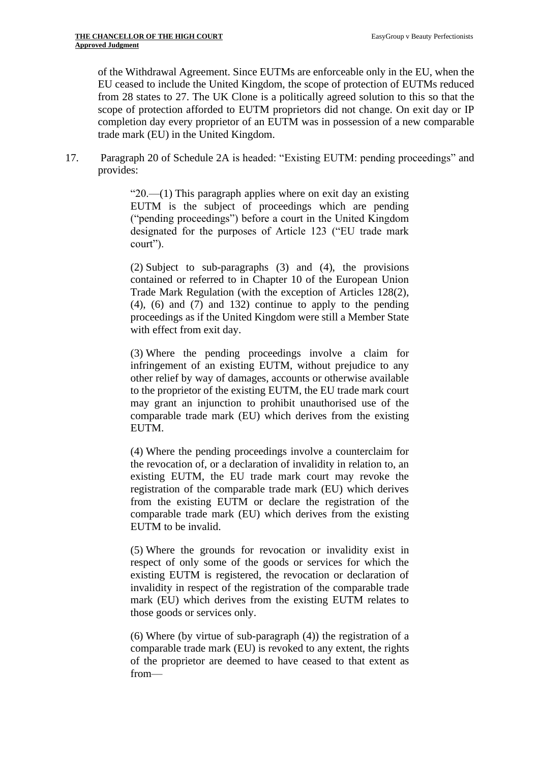of the Withdrawal Agreement. Since EUTMs are enforceable only in the EU, when the EU ceased to include the United Kingdom, the scope of protection of EUTMs reduced from 28 states to 27. The UK Clone is a politically agreed solution to this so that the scope of protection afforded to EUTM proprietors did not change. On exit day or IP completion day every proprietor of an EUTM was in possession of a new comparable trade mark (EU) in the United Kingdom.

17. Paragraph 20 of Schedule 2A is headed: "Existing EUTM: pending proceedings" and provides:

> " $20$ .—(1) This paragraph applies where on exit day an existing EUTM is the subject of proceedings which are pending ("pending proceedings") before a court in the United Kingdom designated for the purposes of Article 123 ("EU trade mark court").

> (2) Subject to sub-paragraphs (3) and (4), the provisions contained or referred to in Chapter 10 of the European Union Trade Mark Regulation (with the exception of Articles 128(2), (4), (6) and (7) and 132) continue to apply to the pending proceedings as if the United Kingdom were still a Member State with effect from exit day.

> (3) Where the pending proceedings involve a claim for infringement of an existing EUTM, without prejudice to any other relief by way of damages, accounts or otherwise available to the proprietor of the existing EUTM, the EU trade mark court may grant an injunction to prohibit unauthorised use of the comparable trade mark (EU) which derives from the existing EUTM.

> (4) Where the pending proceedings involve a counterclaim for the revocation of, or a declaration of invalidity in relation to, an existing EUTM, the EU trade mark court may revoke the registration of the comparable trade mark (EU) which derives from the existing EUTM or declare the registration of the comparable trade mark (EU) which derives from the existing EUTM to be invalid.

> (5) Where the grounds for revocation or invalidity exist in respect of only some of the goods or services for which the existing EUTM is registered, the revocation or declaration of invalidity in respect of the registration of the comparable trade mark (EU) which derives from the existing EUTM relates to those goods or services only.

> (6) Where (by virtue of sub-paragraph (4)) the registration of a comparable trade mark (EU) is revoked to any extent, the rights of the proprietor are deemed to have ceased to that extent as from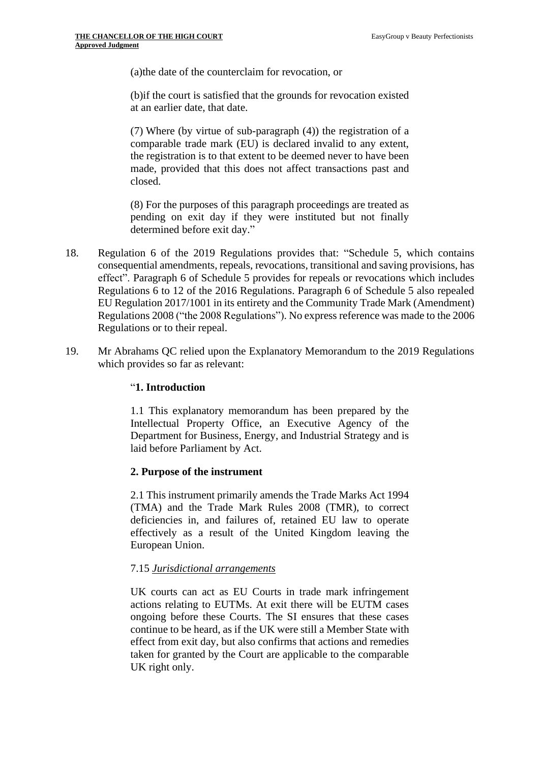(a)the date of the counterclaim for revocation, or

(b)if the court is satisfied that the grounds for revocation existed at an earlier date, that date.

(7) Where (by virtue of sub-paragraph (4)) the registration of a comparable trade mark (EU) is declared invalid to any extent, the registration is to that extent to be deemed never to have been made, provided that this does not affect transactions past and closed.

(8) For the purposes of this paragraph proceedings are treated as pending on exit day if they were instituted but not finally determined before exit day."

- 18. Regulation 6 of the 2019 Regulations provides that: "Schedule 5, which contains consequential amendments, repeals, revocations, transitional and saving provisions, has effect". Paragraph 6 of Schedule 5 provides for repeals or revocations which includes Regulations 6 to 12 of the 2016 Regulations. Paragraph 6 of Schedule 5 also repealed EU Regulation 2017/1001 in its entirety and the Community Trade Mark (Amendment) Regulations 2008 ("the 2008 Regulations"). No express reference was made to the 2006 Regulations or to their repeal.
- 19. Mr Abrahams QC relied upon the Explanatory Memorandum to the 2019 Regulations which provides so far as relevant:

#### "**1. Introduction**

1.1 This explanatory memorandum has been prepared by the Intellectual Property Office, an Executive Agency of the Department for Business, Energy, and Industrial Strategy and is laid before Parliament by Act.

## **2. Purpose of the instrument**

2.1 This instrument primarily amends the Trade Marks Act 1994 (TMA) and the Trade Mark Rules 2008 (TMR), to correct deficiencies in, and failures of, retained EU law to operate effectively as a result of the United Kingdom leaving the European Union.

## 7.15 *Jurisdictional arrangements*

UK courts can act as EU Courts in trade mark infringement actions relating to EUTMs. At exit there will be EUTM cases ongoing before these Courts. The SI ensures that these cases continue to be heard, as if the UK were still a Member State with effect from exit day, but also confirms that actions and remedies taken for granted by the Court are applicable to the comparable UK right only.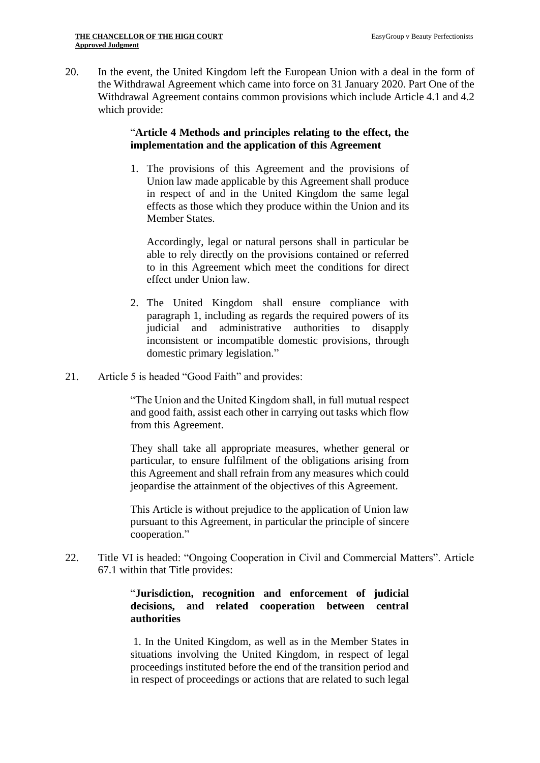20. In the event, the United Kingdom left the European Union with a deal in the form of the Withdrawal Agreement which came into force on 31 January 2020. Part One of the Withdrawal Agreement contains common provisions which include Article 4.1 and 4.2 which provide:

# "**Article 4 Methods and principles relating to the effect, the implementation and the application of this Agreement**

1. The provisions of this Agreement and the provisions of Union law made applicable by this Agreement shall produce in respect of and in the United Kingdom the same legal effects as those which they produce within the Union and its Member States.

Accordingly, legal or natural persons shall in particular be able to rely directly on the provisions contained or referred to in this Agreement which meet the conditions for direct effect under Union law.

- 2. The United Kingdom shall ensure compliance with paragraph 1, including as regards the required powers of its judicial and administrative authorities to disapply inconsistent or incompatible domestic provisions, through domestic primary legislation."
- 21. Article 5 is headed "Good Faith" and provides:

"The Union and the United Kingdom shall, in full mutual respect and good faith, assist each other in carrying out tasks which flow from this Agreement.

They shall take all appropriate measures, whether general or particular, to ensure fulfilment of the obligations arising from this Agreement and shall refrain from any measures which could jeopardise the attainment of the objectives of this Agreement.

This Article is without prejudice to the application of Union law pursuant to this Agreement, in particular the principle of sincere cooperation."

22. Title VI is headed: "Ongoing Cooperation in Civil and Commercial Matters". Article 67.1 within that Title provides:

# "**Jurisdiction, recognition and enforcement of judicial decisions, and related cooperation between central authorities**

1. In the United Kingdom, as well as in the Member States in situations involving the United Kingdom, in respect of legal proceedings instituted before the end of the transition period and in respect of proceedings or actions that are related to such legal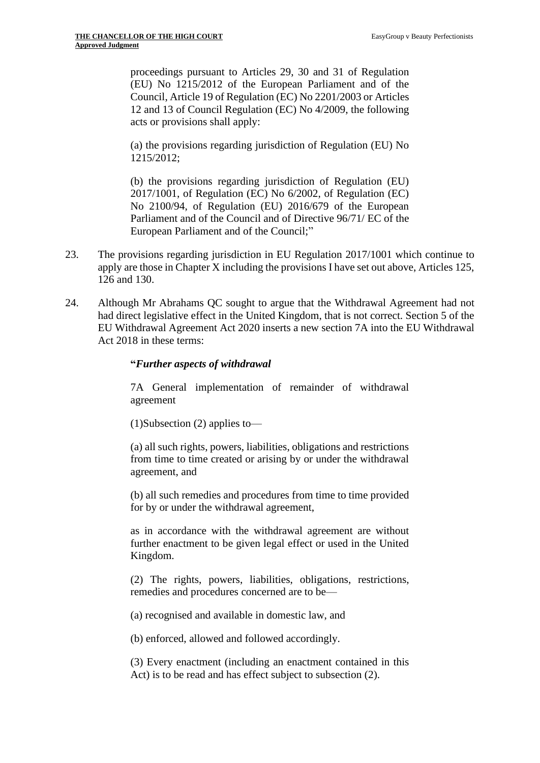proceedings pursuant to Articles 29, 30 and 31 of Regulation (EU) No 1215/2012 of the European Parliament and of the Council, Article 19 of Regulation (EC) No 2201/2003 or Articles 12 and 13 of Council Regulation (EC) No 4/2009, the following acts or provisions shall apply:

(a) the provisions regarding jurisdiction of Regulation (EU) No 1215/2012;

(b) the provisions regarding jurisdiction of Regulation (EU) 2017/1001, of Regulation (EC) No 6/2002, of Regulation (EC) No 2100/94, of Regulation (EU) 2016/679 of the European Parliament and of the Council and of Directive 96/71/ EC of the European Parliament and of the Council;"

- 23. The provisions regarding jurisdiction in EU Regulation 2017/1001 which continue to apply are those in Chapter X including the provisions I have set out above, Articles 125, 126 and 130.
- 24. Although Mr Abrahams QC sought to argue that the Withdrawal Agreement had not had direct legislative effect in the United Kingdom, that is not correct. Section 5 of the EU Withdrawal Agreement Act 2020 inserts a new section 7A into the EU Withdrawal Act 2018 in these terms:

## **"***Further aspects of withdrawal*

7A General implementation of remainder of withdrawal agreement

(1)Subsection [\(2\)](https://www.legislation.gov.uk/ukpga/2020/1/section/5/enacted#p00085) applies to—

(a) all such rights, powers, liabilities, obligations and restrictions from time to time created or arising by or under the withdrawal agreement, and

(b) all such remedies and procedures from time to time provided for by or under the withdrawal agreement,

as in accordance with the withdrawal agreement are without further enactment to be given legal effect or used in the United Kingdom.

(2) The rights, powers, liabilities, obligations, restrictions, remedies and procedures concerned are to be—

(a) recognised and available in domestic law, and

(b) enforced, allowed and followed accordingly.

(3) Every enactment (including an enactment contained in this Act) is to be read and has effect subject to subsection [\(2\).](https://www.legislation.gov.uk/ukpga/2020/1/section/5/enacted#p00085)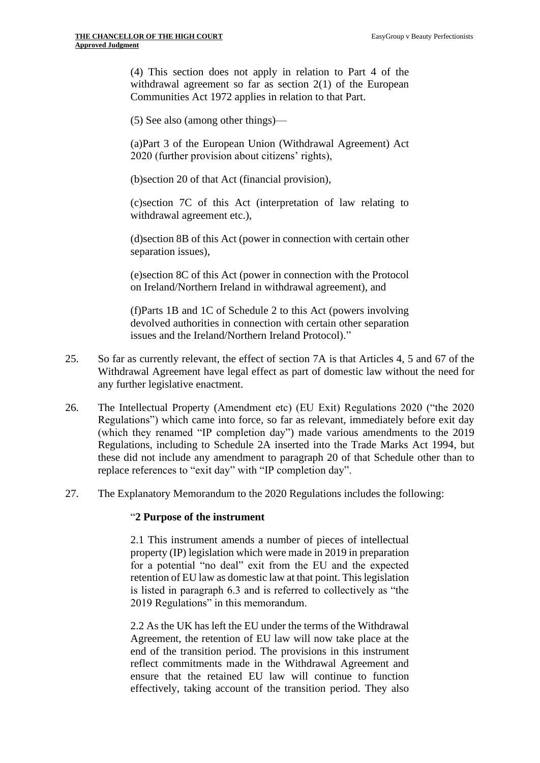(4) This section does not apply in relation to Part 4 of the withdrawal agreement so far as section 2(1) of the European Communities Act 1972 applies in relation to that Part.

(5) See also (among other things)—

(a)Part 3 of the European Union (Withdrawal Agreement) Act 2020 (further provision about citizens' rights),

(b)section 20 of that Act (financial provision),

(c)section 7C of this Act (interpretation of law relating to withdrawal agreement etc.),

(d)section 8B of this Act (power in connection with certain other separation issues),

(e)section 8C of this Act (power in connection with the Protocol on Ireland/Northern Ireland in withdrawal agreement), and

(f)Parts 1B and 1C of Schedule 2 to this Act (powers involving devolved authorities in connection with certain other separation issues and the Ireland/Northern Ireland Protocol)."

- 25. So far as currently relevant, the effect of section 7A is that Articles 4, 5 and 67 of the Withdrawal Agreement have legal effect as part of domestic law without the need for any further legislative enactment.
- 26. The Intellectual Property (Amendment etc) (EU Exit) Regulations 2020 ("the 2020 Regulations") which came into force, so far as relevant, immediately before exit day (which they renamed "IP completion day") made various amendments to the 2019 Regulations, including to Schedule 2A inserted into the Trade Marks Act 1994, but these did not include any amendment to paragraph 20 of that Schedule other than to replace references to "exit day" with "IP completion day".
- 27. The Explanatory Memorandum to the 2020 Regulations includes the following:

#### "**2 Purpose of the instrument**

2.1 This instrument amends a number of pieces of intellectual property (IP) legislation which were made in 2019 in preparation for a potential "no deal" exit from the EU and the expected retention of EU law as domestic law at that point. This legislation is listed in paragraph 6.3 and is referred to collectively as "the 2019 Regulations" in this memorandum.

2.2 As the UK has left the EU under the terms of the Withdrawal Agreement, the retention of EU law will now take place at the end of the transition period. The provisions in this instrument reflect commitments made in the Withdrawal Agreement and ensure that the retained EU law will continue to function effectively, taking account of the transition period. They also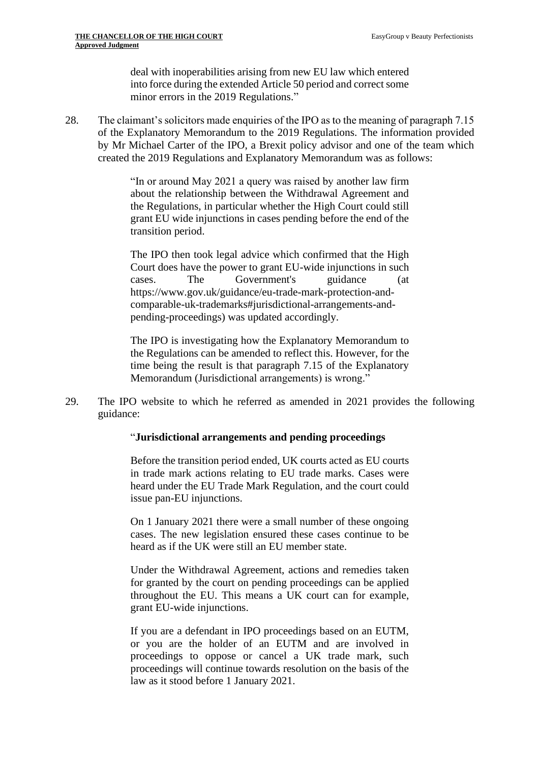deal with inoperabilities arising from new EU law which entered into force during the extended Article 50 period and correct some minor errors in the 2019 Regulations."

28. The claimant's solicitors made enquiries of the IPO as to the meaning of paragraph 7.15 of the Explanatory Memorandum to the 2019 Regulations. The information provided by Mr Michael Carter of the IPO, a Brexit policy advisor and one of the team which created the 2019 Regulations and Explanatory Memorandum was as follows:

> "In or around May 2021 a query was raised by another law firm about the relationship between the Withdrawal Agreement and the Regulations, in particular whether the High Court could still grant EU wide injunctions in cases pending before the end of the transition period.

> The IPO then took legal advice which confirmed that the High Court does have the power to grant EU-wide injunctions in such cases. The Government's guidance (at https://www.gov.uk/guidance/eu-trade-mark-protection-andcomparable-uk-trademarks#jurisdictional-arrangements-andpending-proceedings) was updated accordingly.

> The IPO is investigating how the Explanatory Memorandum to the Regulations can be amended to reflect this. However, for the time being the result is that paragraph 7.15 of the Explanatory Memorandum (Jurisdictional arrangements) is wrong."

29. The IPO website to which he referred as amended in 2021 provides the following guidance:

## "**Jurisdictional arrangements and pending proceedings**

Before the transition period ended, UK courts acted as EU courts in trade mark actions relating to EU trade marks. Cases were heard under the EU Trade Mark Regulation, and the court could issue pan-EU injunctions.

On 1 January 2021 there were a small number of these ongoing cases. The new legislation ensured these cases continue to be heard as if the UK were still an EU member state.

Under the Withdrawal Agreement, actions and remedies taken for granted by the court on pending proceedings can be applied throughout the EU. This means a UK court can for example, grant EU-wide injunctions.

If you are a defendant in IPO proceedings based on an EUTM, or you are the holder of an EUTM and are involved in proceedings to oppose or cancel a UK trade mark, such proceedings will continue towards resolution on the basis of the law as it stood before 1 January 2021.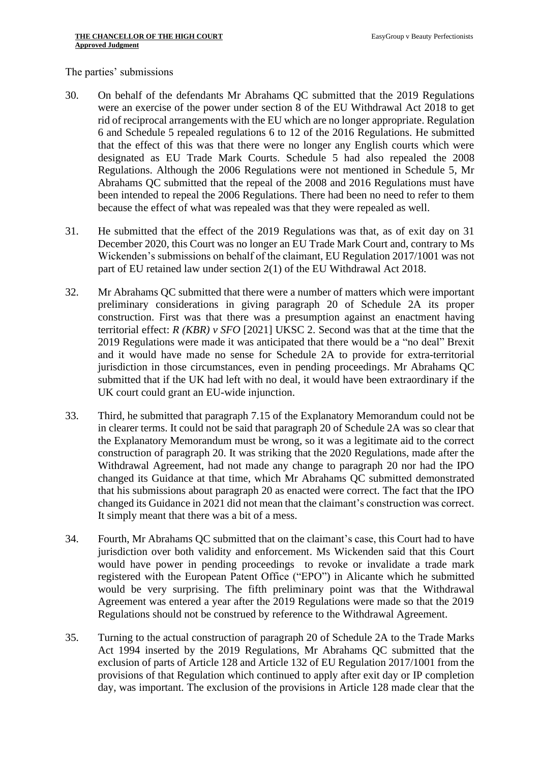#### The parties' submissions

- 30. On behalf of the defendants Mr Abrahams QC submitted that the 2019 Regulations were an exercise of the power under section 8 of the EU Withdrawal Act 2018 to get rid of reciprocal arrangements with the EU which are no longer appropriate. Regulation 6 and Schedule 5 repealed regulations 6 to 12 of the 2016 Regulations. He submitted that the effect of this was that there were no longer any English courts which were designated as EU Trade Mark Courts. Schedule 5 had also repealed the 2008 Regulations. Although the 2006 Regulations were not mentioned in Schedule 5, Mr Abrahams QC submitted that the repeal of the 2008 and 2016 Regulations must have been intended to repeal the 2006 Regulations. There had been no need to refer to them because the effect of what was repealed was that they were repealed as well.
- 31. He submitted that the effect of the 2019 Regulations was that, as of exit day on 31 December 2020, this Court was no longer an EU Trade Mark Court and, contrary to Ms Wickenden's submissions on behalf of the claimant, EU Regulation 2017/1001 was not part of EU retained law under section 2(1) of the EU Withdrawal Act 2018.
- 32. Mr Abrahams QC submitted that there were a number of matters which were important preliminary considerations in giving paragraph 20 of Schedule 2A its proper construction. First was that there was a presumption against an enactment having territorial effect: *R (KBR) v SFO* [2021] UKSC 2. Second was that at the time that the 2019 Regulations were made it was anticipated that there would be a "no deal" Brexit and it would have made no sense for Schedule 2A to provide for extra-territorial jurisdiction in those circumstances, even in pending proceedings. Mr Abrahams QC submitted that if the UK had left with no deal, it would have been extraordinary if the UK court could grant an EU-wide injunction.
- 33. Third, he submitted that paragraph 7.15 of the Explanatory Memorandum could not be in clearer terms. It could not be said that paragraph 20 of Schedule 2A was so clear that the Explanatory Memorandum must be wrong, so it was a legitimate aid to the correct construction of paragraph 20. It was striking that the 2020 Regulations, made after the Withdrawal Agreement, had not made any change to paragraph 20 nor had the IPO changed its Guidance at that time, which Mr Abrahams QC submitted demonstrated that his submissions about paragraph 20 as enacted were correct. The fact that the IPO changed its Guidance in 2021 did not mean that the claimant's construction was correct. It simply meant that there was a bit of a mess.
- 34. Fourth, Mr Abrahams QC submitted that on the claimant's case, this Court had to have jurisdiction over both validity and enforcement. Ms Wickenden said that this Court would have power in pending proceedings to revoke or invalidate a trade mark registered with the European Patent Office ("EPO") in Alicante which he submitted would be very surprising. The fifth preliminary point was that the Withdrawal Agreement was entered a year after the 2019 Regulations were made so that the 2019 Regulations should not be construed by reference to the Withdrawal Agreement.
- 35. Turning to the actual construction of paragraph 20 of Schedule 2A to the Trade Marks Act 1994 inserted by the 2019 Regulations, Mr Abrahams QC submitted that the exclusion of parts of Article 128 and Article 132 of EU Regulation 2017/1001 from the provisions of that Regulation which continued to apply after exit day or IP completion day, was important. The exclusion of the provisions in Article 128 made clear that the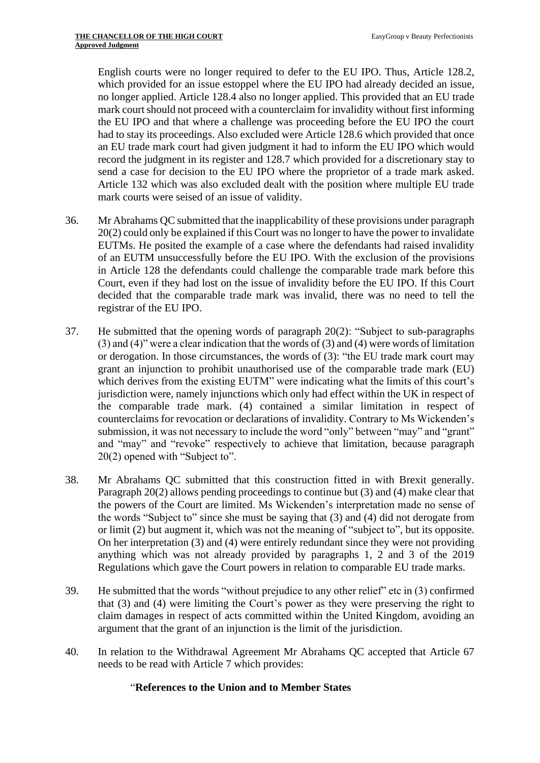English courts were no longer required to defer to the EU IPO. Thus, Article 128.2, which provided for an issue estoppel where the EU IPO had already decided an issue, no longer applied. Article 128.4 also no longer applied. This provided that an EU trade mark court should not proceed with a counterclaim for invalidity without first informing the EU IPO and that where a challenge was proceeding before the EU IPO the court had to stay its proceedings. Also excluded were Article 128.6 which provided that once an EU trade mark court had given judgment it had to inform the EU IPO which would record the judgment in its register and 128.7 which provided for a discretionary stay to send a case for decision to the EU IPO where the proprietor of a trade mark asked. Article 132 which was also excluded dealt with the position where multiple EU trade mark courts were seised of an issue of validity.

- 36. Mr Abrahams QC submitted that the inapplicability of these provisions under paragraph 20(2) could only be explained if this Court was no longer to have the power to invalidate EUTMs. He posited the example of a case where the defendants had raised invalidity of an EUTM unsuccessfully before the EU IPO. With the exclusion of the provisions in Article 128 the defendants could challenge the comparable trade mark before this Court, even if they had lost on the issue of invalidity before the EU IPO. If this Court decided that the comparable trade mark was invalid, there was no need to tell the registrar of the EU IPO.
- 37. He submitted that the opening words of paragraph 20(2): "Subject to sub-paragraphs (3) and (4)" were a clear indication that the words of (3) and (4) were words of limitation or derogation. In those circumstances, the words of (3): "the EU trade mark court may grant an injunction to prohibit unauthorised use of the comparable trade mark (EU) which derives from the existing EUTM" were indicating what the limits of this court's jurisdiction were, namely injunctions which only had effect within the UK in respect of the comparable trade mark. (4) contained a similar limitation in respect of counterclaims for revocation or declarations of invalidity. Contrary to Ms Wickenden's submission, it was not necessary to include the word "only" between "may" and "grant" and "may" and "revoke" respectively to achieve that limitation, because paragraph 20(2) opened with "Subject to".
- 38. Mr Abrahams QC submitted that this construction fitted in with Brexit generally. Paragraph 20(2) allows pending proceedings to continue but (3) and (4) make clear that the powers of the Court are limited. Ms Wickenden's interpretation made no sense of the words "Subject to" since she must be saying that (3) and (4) did not derogate from or limit (2) but augment it, which was not the meaning of "subject to", but its opposite. On her interpretation (3) and (4) were entirely redundant since they were not providing anything which was not already provided by paragraphs 1, 2 and 3 of the 2019 Regulations which gave the Court powers in relation to comparable EU trade marks.
- 39. He submitted that the words "without prejudice to any other relief" etc in (3) confirmed that (3) and (4) were limiting the Court's power as they were preserving the right to claim damages in respect of acts committed within the United Kingdom, avoiding an argument that the grant of an injunction is the limit of the jurisdiction.
- 40. In relation to the Withdrawal Agreement Mr Abrahams QC accepted that Article 67 needs to be read with Article 7 which provides:

# "**References to the Union and to Member States**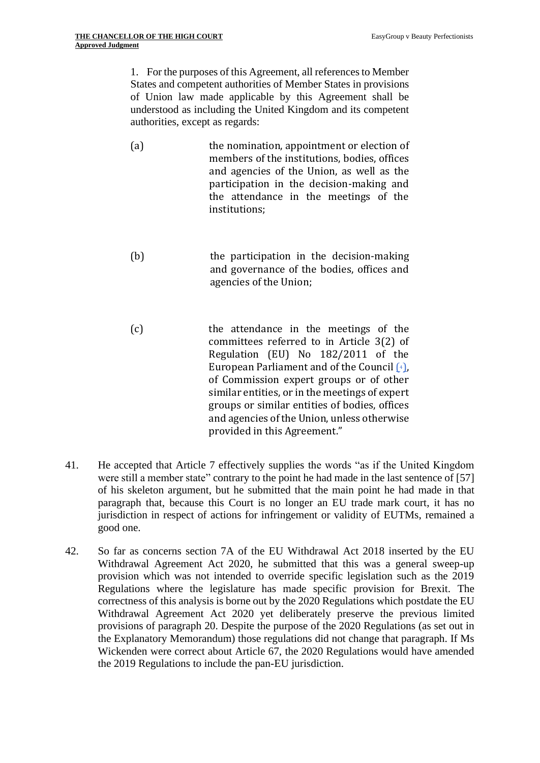1. For the purposes of this Agreement, all references to Member States and competent authorities of Member States in provisions of Union law made applicable by this Agreement shall be understood as including the United Kingdom and its competent authorities, except as regards:

- (a) the nomination, appointment or election of members of the institutions, bodies, offices and agencies of the Union, as well as the participation in the decision-making and the attendance in the meetings of the institutions;
- (b) the participation in the decision-making and governance of the bodies, offices and agencies of the Union;
- (c) the attendance in the meetings of the committees referred to in Article 3(2) of Regulation (EU) No 182/2011 of the European Parliament and of the Council (4[\),](https://eur-lex.europa.eu/legal-content/EN/TXT/HTML/?uri=CELEX:12019W/TXT(02)&from=EN#ntr4-CI2019384EN.01000101-E0004) of Commission expert groups or of other similar entities, or in the meetings of expert groups or similar entities of bodies, offices and agencies of the Union, unless otherwise provided in this Agreement."
- 41. He accepted that Article 7 effectively supplies the words "as if the United Kingdom were still a member state" contrary to the point he had made in the last sentence of [57] of his skeleton argument, but he submitted that the main point he had made in that paragraph that, because this Court is no longer an EU trade mark court, it has no jurisdiction in respect of actions for infringement or validity of EUTMs, remained a good one.
- 42. So far as concerns section 7A of the EU Withdrawal Act 2018 inserted by the EU Withdrawal Agreement Act 2020, he submitted that this was a general sweep-up provision which was not intended to override specific legislation such as the 2019 Regulations where the legislature has made specific provision for Brexit. The correctness of this analysis is borne out by the 2020 Regulations which postdate the EU Withdrawal Agreement Act 2020 yet deliberately preserve the previous limited provisions of paragraph 20. Despite the purpose of the 2020 Regulations (as set out in the Explanatory Memorandum) those regulations did not change that paragraph. If Ms Wickenden were correct about Article 67, the 2020 Regulations would have amended the 2019 Regulations to include the pan-EU jurisdiction.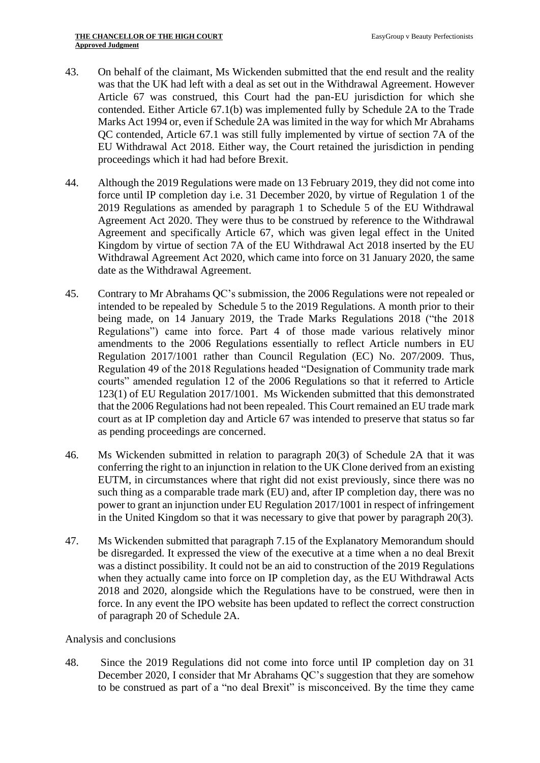- 43. On behalf of the claimant, Ms Wickenden submitted that the end result and the reality was that the UK had left with a deal as set out in the Withdrawal Agreement. However Article 67 was construed, this Court had the pan-EU jurisdiction for which she contended. Either Article 67.1(b) was implemented fully by Schedule 2A to the Trade Marks Act 1994 or, even if Schedule 2A was limited in the way for which Mr Abrahams QC contended, Article 67.1 was still fully implemented by virtue of section 7A of the EU Withdrawal Act 2018. Either way, the Court retained the jurisdiction in pending proceedings which it had had before Brexit.
- 44. Although the 2019 Regulations were made on 13 February 2019, they did not come into force until IP completion day i.e. 31 December 2020, by virtue of Regulation 1 of the 2019 Regulations as amended by paragraph 1 to Schedule 5 of the EU Withdrawal Agreement Act 2020. They were thus to be construed by reference to the Withdrawal Agreement and specifically Article 67, which was given legal effect in the United Kingdom by virtue of section 7A of the EU Withdrawal Act 2018 inserted by the EU Withdrawal Agreement Act 2020, which came into force on 31 January 2020, the same date as the Withdrawal Agreement.
- 45. Contrary to Mr Abrahams QC's submission, the 2006 Regulations were not repealed or intended to be repealed by Schedule 5 to the 2019 Regulations. A month prior to their being made, on 14 January 2019, the Trade Marks Regulations 2018 ("the 2018 Regulations") came into force. Part 4 of those made various relatively minor amendments to the 2006 Regulations essentially to reflect Article numbers in EU Regulation 2017/1001 rather than Council Regulation (EC) No. 207/2009. Thus, Regulation 49 of the 2018 Regulations headed "Designation of Community trade mark courts" amended regulation 12 of the 2006 Regulations so that it referred to Article 123(1) of EU Regulation 2017/1001. Ms Wickenden submitted that this demonstrated that the 2006 Regulations had not been repealed. This Court remained an EU trade mark court as at IP completion day and Article 67 was intended to preserve that status so far as pending proceedings are concerned.
- 46. Ms Wickenden submitted in relation to paragraph 20(3) of Schedule 2A that it was conferring the right to an injunction in relation to the UK Clone derived from an existing EUTM, in circumstances where that right did not exist previously, since there was no such thing as a comparable trade mark (EU) and, after IP completion day, there was no power to grant an injunction under EU Regulation 2017/1001 in respect of infringement in the United Kingdom so that it was necessary to give that power by paragraph 20(3).
- 47. Ms Wickenden submitted that paragraph 7.15 of the Explanatory Memorandum should be disregarded. It expressed the view of the executive at a time when a no deal Brexit was a distinct possibility. It could not be an aid to construction of the 2019 Regulations when they actually came into force on IP completion day, as the EU Withdrawal Acts 2018 and 2020, alongside which the Regulations have to be construed, were then in force. In any event the IPO website has been updated to reflect the correct construction of paragraph 20 of Schedule 2A.

Analysis and conclusions

48. Since the 2019 Regulations did not come into force until IP completion day on 31 December 2020, I consider that Mr Abrahams QC's suggestion that they are somehow to be construed as part of a "no deal Brexit" is misconceived. By the time they came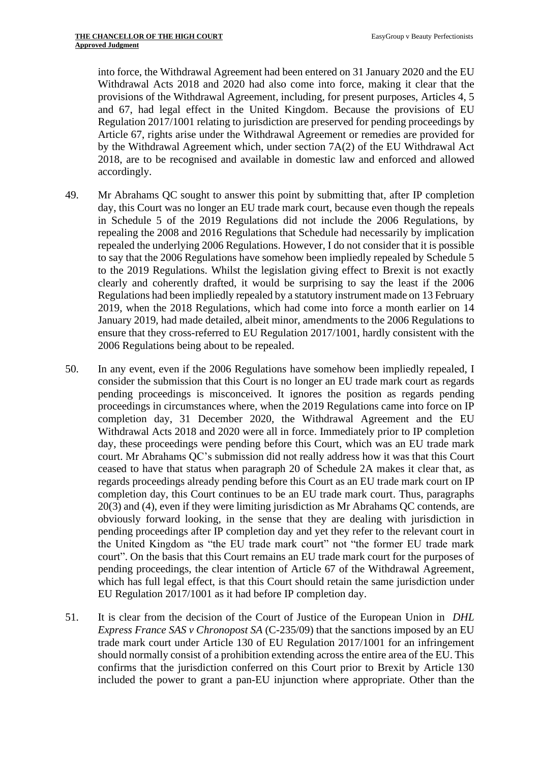into force, the Withdrawal Agreement had been entered on 31 January 2020 and the EU Withdrawal Acts 2018 and 2020 had also come into force, making it clear that the provisions of the Withdrawal Agreement, including, for present purposes, Articles 4, 5 and 67, had legal effect in the United Kingdom. Because the provisions of EU Regulation 2017/1001 relating to jurisdiction are preserved for pending proceedings by Article 67, rights arise under the Withdrawal Agreement or remedies are provided for by the Withdrawal Agreement which, under section 7A(2) of the EU Withdrawal Act 2018, are to be recognised and available in domestic law and enforced and allowed accordingly.

- 49. Mr Abrahams QC sought to answer this point by submitting that, after IP completion day, this Court was no longer an EU trade mark court, because even though the repeals in Schedule 5 of the 2019 Regulations did not include the 2006 Regulations, by repealing the 2008 and 2016 Regulations that Schedule had necessarily by implication repealed the underlying 2006 Regulations. However, I do not consider that it is possible to say that the 2006 Regulations have somehow been impliedly repealed by Schedule 5 to the 2019 Regulations. Whilst the legislation giving effect to Brexit is not exactly clearly and coherently drafted, it would be surprising to say the least if the 2006 Regulations had been impliedly repealed by a statutory instrument made on 13 February 2019, when the 2018 Regulations, which had come into force a month earlier on 14 January 2019, had made detailed, albeit minor, amendments to the 2006 Regulations to ensure that they cross-referred to EU Regulation 2017/1001, hardly consistent with the 2006 Regulations being about to be repealed.
- 50. In any event, even if the 2006 Regulations have somehow been impliedly repealed, I consider the submission that this Court is no longer an EU trade mark court as regards pending proceedings is misconceived. It ignores the position as regards pending proceedings in circumstances where, when the 2019 Regulations came into force on IP completion day, 31 December 2020, the Withdrawal Agreement and the EU Withdrawal Acts 2018 and 2020 were all in force. Immediately prior to IP completion day, these proceedings were pending before this Court, which was an EU trade mark court. Mr Abrahams QC's submission did not really address how it was that this Court ceased to have that status when paragraph 20 of Schedule 2A makes it clear that, as regards proceedings already pending before this Court as an EU trade mark court on IP completion day, this Court continues to be an EU trade mark court. Thus, paragraphs 20(3) and (4), even if they were limiting jurisdiction as Mr Abrahams QC contends, are obviously forward looking, in the sense that they are dealing with jurisdiction in pending proceedings after IP completion day and yet they refer to the relevant court in the United Kingdom as "the EU trade mark court" not "the former EU trade mark court". On the basis that this Court remains an EU trade mark court for the purposes of pending proceedings, the clear intention of Article 67 of the Withdrawal Agreement, which has full legal effect, is that this Court should retain the same jurisdiction under EU Regulation 2017/1001 as it had before IP completion day.
- 51. It is clear from the decision of the Court of Justice of the European Union in *DHL Express France SAS v Chronopost SA* (C-235/09) that the sanctions imposed by an EU trade mark court under Article 130 of EU Regulation 2017/1001 for an infringement should normally consist of a prohibition extending across the entire area of the EU. This confirms that the jurisdiction conferred on this Court prior to Brexit by Article 130 included the power to grant a pan-EU injunction where appropriate. Other than the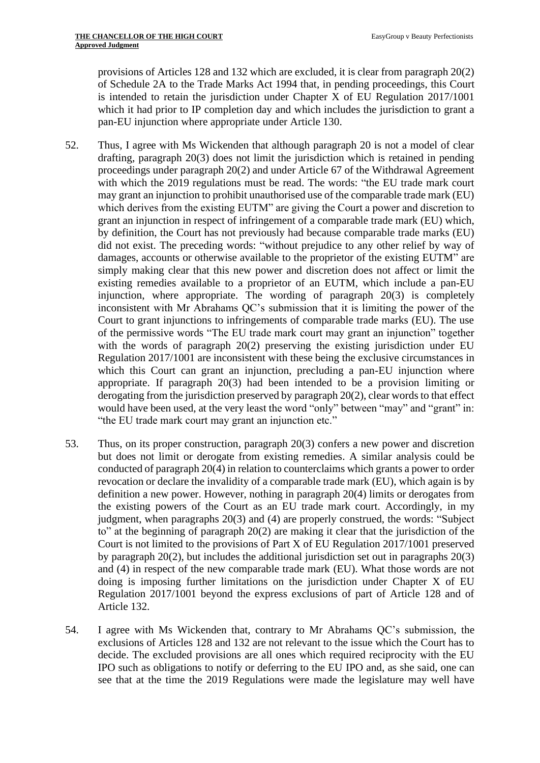provisions of Articles 128 and 132 which are excluded, it is clear from paragraph 20(2) of Schedule 2A to the Trade Marks Act 1994 that, in pending proceedings, this Court is intended to retain the jurisdiction under Chapter X of EU Regulation 2017/1001 which it had prior to IP completion day and which includes the jurisdiction to grant a pan-EU injunction where appropriate under Article 130.

- 52. Thus, I agree with Ms Wickenden that although paragraph 20 is not a model of clear drafting, paragraph 20(3) does not limit the jurisdiction which is retained in pending proceedings under paragraph 20(2) and under Article 67 of the Withdrawal Agreement with which the 2019 regulations must be read. The words: "the EU trade mark court may grant an injunction to prohibit unauthorised use of the comparable trade mark (EU) which derives from the existing EUTM" are giving the Court a power and discretion to grant an injunction in respect of infringement of a comparable trade mark (EU) which, by definition, the Court has not previously had because comparable trade marks (EU) did not exist. The preceding words: "without prejudice to any other relief by way of damages, accounts or otherwise available to the proprietor of the existing EUTM" are simply making clear that this new power and discretion does not affect or limit the existing remedies available to a proprietor of an EUTM, which include a pan-EU injunction, where appropriate. The wording of paragraph 20(3) is completely inconsistent with Mr Abrahams QC's submission that it is limiting the power of the Court to grant injunctions to infringements of comparable trade marks (EU). The use of the permissive words "The EU trade mark court may grant an injunction" together with the words of paragraph 20(2) preserving the existing jurisdiction under EU Regulation 2017/1001 are inconsistent with these being the exclusive circumstances in which this Court can grant an injunction, precluding a pan-EU injunction where appropriate. If paragraph 20(3) had been intended to be a provision limiting or derogating from the jurisdiction preserved by paragraph 20(2), clear words to that effect would have been used, at the very least the word "only" between "may" and "grant" in: "the EU trade mark court may grant an injunction etc."
- 53. Thus, on its proper construction, paragraph 20(3) confers a new power and discretion but does not limit or derogate from existing remedies. A similar analysis could be conducted of paragraph 20(4) in relation to counterclaims which grants a power to order revocation or declare the invalidity of a comparable trade mark (EU), which again is by definition a new power. However, nothing in paragraph 20(4) limits or derogates from the existing powers of the Court as an EU trade mark court. Accordingly, in my judgment, when paragraphs 20(3) and (4) are properly construed, the words: "Subject to" at the beginning of paragraph 20(2) are making it clear that the jurisdiction of the Court is not limited to the provisions of Part X of EU Regulation 2017/1001 preserved by paragraph 20(2), but includes the additional jurisdiction set out in paragraphs 20(3) and (4) in respect of the new comparable trade mark (EU). What those words are not doing is imposing further limitations on the jurisdiction under Chapter X of EU Regulation 2017/1001 beyond the express exclusions of part of Article 128 and of Article 132.
- 54. I agree with Ms Wickenden that, contrary to Mr Abrahams QC's submission, the exclusions of Articles 128 and 132 are not relevant to the issue which the Court has to decide. The excluded provisions are all ones which required reciprocity with the EU IPO such as obligations to notify or deferring to the EU IPO and, as she said, one can see that at the time the 2019 Regulations were made the legislature may well have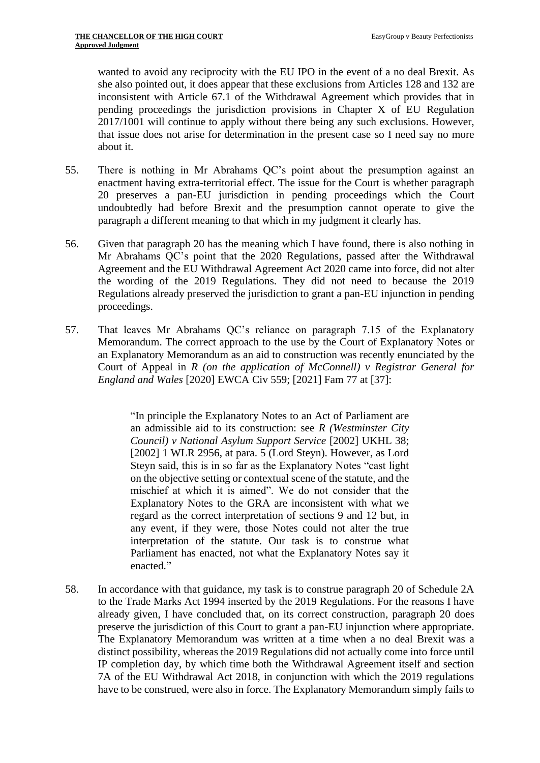wanted to avoid any reciprocity with the EU IPO in the event of a no deal Brexit. As she also pointed out, it does appear that these exclusions from Articles 128 and 132 are inconsistent with Article 67.1 of the Withdrawal Agreement which provides that in pending proceedings the jurisdiction provisions in Chapter X of EU Regulation 2017/1001 will continue to apply without there being any such exclusions. However, that issue does not arise for determination in the present case so I need say no more about it.

- 55. There is nothing in Mr Abrahams QC's point about the presumption against an enactment having extra-territorial effect. The issue for the Court is whether paragraph 20 preserves a pan-EU jurisdiction in pending proceedings which the Court undoubtedly had before Brexit and the presumption cannot operate to give the paragraph a different meaning to that which in my judgment it clearly has.
- 56. Given that paragraph 20 has the meaning which I have found, there is also nothing in Mr Abrahams QC's point that the 2020 Regulations, passed after the Withdrawal Agreement and the EU Withdrawal Agreement Act 2020 came into force, did not alter the wording of the 2019 Regulations. They did not need to because the 2019 Regulations already preserved the jurisdiction to grant a pan-EU injunction in pending proceedings.
- 57. That leaves Mr Abrahams QC's reliance on paragraph 7.15 of the Explanatory Memorandum. The correct approach to the use by the Court of Explanatory Notes or an Explanatory Memorandum as an aid to construction was recently enunciated by the Court of Appeal in *R (on the application of McConnell) v Registrar General for England and Wales* [2020] EWCA Civ 559; [2021] Fam 77 at [37]:

"In principle the Explanatory Notes to an Act of Parliament are an admissible aid to its construction: see *R (Westminster City Council) v National Asylum Support Service* [2002] UKHL 38; [2002] 1 WLR 2956, at para. 5 (Lord Steyn). However, as Lord Steyn said, this is in so far as the Explanatory Notes "cast light on the objective setting or contextual scene of the statute, and the mischief at which it is aimed". We do not consider that the Explanatory Notes to the GRA are inconsistent with what we regard as the correct interpretation of sections 9 and 12 but, in any event, if they were, those Notes could not alter the true interpretation of the statute. Our task is to construe what Parliament has enacted, not what the Explanatory Notes say it enacted."

58. In accordance with that guidance, my task is to construe paragraph 20 of Schedule 2A to the Trade Marks Act 1994 inserted by the 2019 Regulations. For the reasons I have already given, I have concluded that, on its correct construction, paragraph 20 does preserve the jurisdiction of this Court to grant a pan-EU injunction where appropriate. The Explanatory Memorandum was written at a time when a no deal Brexit was a distinct possibility, whereas the 2019 Regulations did not actually come into force until IP completion day, by which time both the Withdrawal Agreement itself and section 7A of the EU Withdrawal Act 2018, in conjunction with which the 2019 regulations have to be construed, were also in force. The Explanatory Memorandum simply fails to